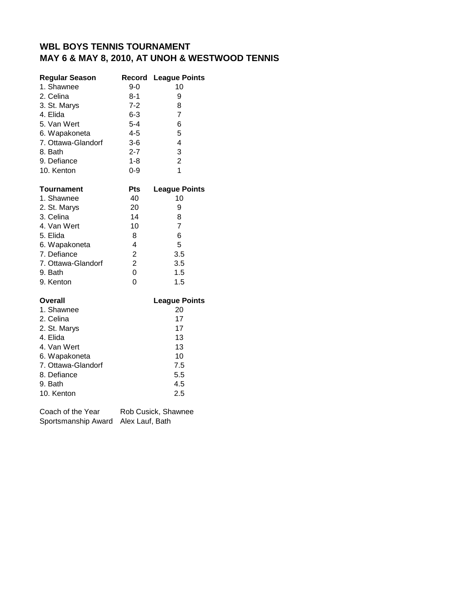| <b>Regular Season</b> | Record                  | <b>League Points</b> |
|-----------------------|-------------------------|----------------------|
| 1. Shawnee            | $9 - 0$                 | 10                   |
| 2. Celina             | $8 - 1$                 | 9                    |
| 3. St. Marys          | $7 - 2$                 | 8                    |
| 4. Elida              | $6 - 3$                 | $\overline{7}$       |
| 5. Van Wert           | $5 - 4$                 | 6                    |
| 6. Wapakoneta         | $4 - 5$                 | 5                    |
| 7. Ottawa-Glandorf    | $3-6$                   | 4                    |
| 8. Bath               | $2 - 7$                 | 3                    |
| 9. Defiance           | $1 - 8$                 | $\overline{c}$       |
| 10. Kenton            | $0 - 9$                 | 1                    |
| Tournament            | Pts                     | <b>League Points</b> |
| 1. Shawnee            | 40                      | 10                   |
| 2. St. Marys          | 20                      | 9                    |
| 3. Celina             | 14                      | 8                    |
| 4. Van Wert           | 10                      | $\overline{7}$       |
| 5. Elida              | 8                       | 6                    |
| 6. Wapakoneta         | 4                       | 5                    |
| 7. Defiance           | $\overline{\mathbf{c}}$ | 3.5                  |
| 7. Ottawa-Glandorf    | $\overline{c}$          | 3.5                  |
| 9. Bath               | $\overline{0}$          | 1.5                  |
| 9. Kenton             | 0                       | 1.5                  |
| <b>Overall</b>        |                         | <b>League Points</b> |
| 1. Shawnee            |                         | 20                   |
| 2. Celina             |                         | 17                   |
| 2. St. Marys          |                         | 17                   |
| 4. Elida              |                         | 13                   |
| 4. Van Wert           |                         | 13                   |
| 6. Wapakoneta         |                         | 10                   |
| 7. Ottawa-Glandorf    |                         | 7.5                  |
| 8. Defiance           |                         | 5.5                  |
| 9. Bath               |                         | 4.5                  |

Coach of the Year Rob Cusick, Shawnee Sportsmanship Award Alex Lauf, Bath

10. Kenton 2.5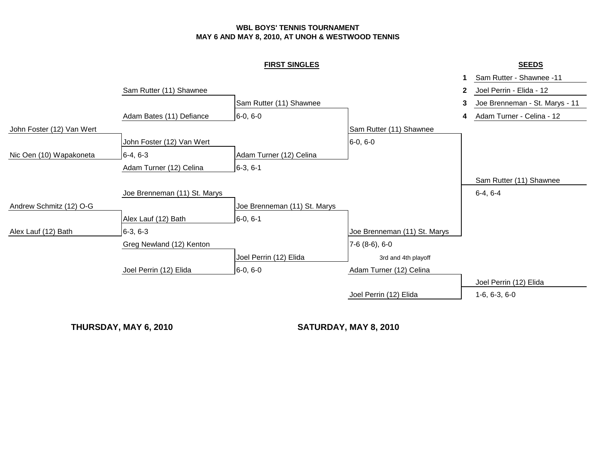|                           |                              | <b>FIRST SINGLES</b>         |                              | <b>SEEDS</b>                             |  |
|---------------------------|------------------------------|------------------------------|------------------------------|------------------------------------------|--|
|                           |                              |                              |                              | Sam Rutter - Shawnee -11                 |  |
|                           | Sam Rutter (11) Shawnee      |                              |                              | Joel Perrin - Elida - 12<br>$\mathbf{2}$ |  |
|                           |                              | Sam Rutter (11) Shawnee      |                              | Joe Brenneman - St. Marys - 11<br>3      |  |
|                           | Adam Bates (11) Defiance     | $6-0, 6-0$                   |                              | Adam Turner - Celina - 12<br>4           |  |
| John Foster (12) Van Wert |                              |                              | Sam Rutter (11) Shawnee      |                                          |  |
|                           | John Foster (12) Van Wert    |                              | $6-0, 6-0$                   |                                          |  |
| Nic Oen (10) Wapakoneta   | $6-4, 6-3$                   | Adam Turner (12) Celina      |                              |                                          |  |
|                           | Adam Turner (12) Celina      | $6-3, 6-1$                   |                              |                                          |  |
|                           |                              |                              |                              | Sam Rutter (11) Shawnee                  |  |
|                           | Joe Brenneman (11) St. Marys |                              |                              | $6-4, 6-4$                               |  |
| Andrew Schmitz (12) O-G   |                              | Joe Brenneman (11) St. Marys |                              |                                          |  |
|                           | Alex Lauf (12) Bath          | $6-0, 6-1$                   |                              |                                          |  |
| Alex Lauf (12) Bath       | $6-3, 6-3$                   |                              | Joe Brenneman (11) St. Marys |                                          |  |
|                           | Greg Newland (12) Kenton     |                              | $7-6(8-6), 6-0$              |                                          |  |
|                           |                              | Joel Perrin (12) Elida       | 3rd and 4th playoff          |                                          |  |
|                           | Joel Perrin (12) Elida       | $6-0, 6-0$                   | Adam Turner (12) Celina      |                                          |  |
|                           |                              |                              |                              | Joel Perrin (12) Elida                   |  |
|                           |                              |                              | Joel Perrin (12) Elida       | $1-6, 6-3, 6-0$                          |  |
|                           |                              |                              |                              |                                          |  |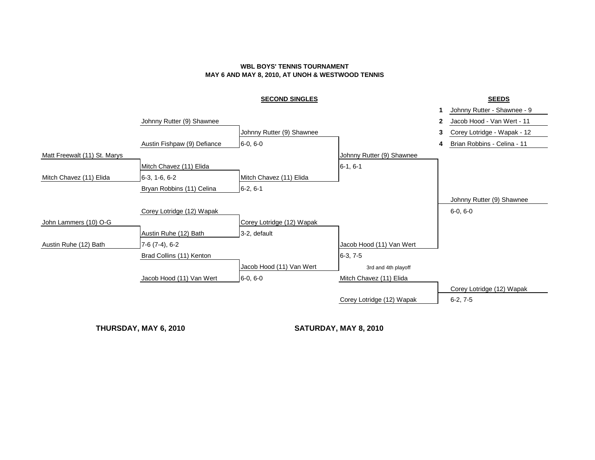## **SECOND SINGLES SEEDS**

|                              |                             |                           |                           |              | Johnny Rutter - Shawnee - 9 |
|------------------------------|-----------------------------|---------------------------|---------------------------|--------------|-----------------------------|
|                              | Johnny Rutter (9) Shawnee   |                           |                           | $\mathbf{2}$ | Jacob Hood - Van Wert - 11  |
|                              |                             | Johnny Rutter (9) Shawnee |                           |              | Corey Lotridge - Wapak - 12 |
|                              | Austin Fishpaw (9) Defiance | $6-0, 6-0$                |                           | 4            | Brian Robbins - Celina - 11 |
| Matt Freewalt (11) St. Marys |                             |                           | Johnny Rutter (9) Shawnee |              |                             |
|                              | Mitch Chavez (11) Elida     |                           | $6-1, 6-1$                |              |                             |
| Mitch Chavez (11) Elida      | $6-3, 1-6, 6-2$             | Mitch Chavez (11) Elida   |                           |              |                             |
|                              | Bryan Robbins (11) Celina   | $6-2, 6-1$                |                           |              |                             |
|                              |                             |                           |                           |              | Johnny Rutter (9) Shawnee   |
|                              | Corey Lotridge (12) Wapak   |                           |                           |              | $6-0, 6-0$                  |
| John Lammers (10) O-G        |                             | Corey Lotridge (12) Wapak |                           |              |                             |
|                              | Austin Ruhe (12) Bath       | 3-2, default              |                           |              |                             |
| Austin Ruhe (12) Bath        | $7-6(7-4), 6-2$             |                           | Jacob Hood (11) Van Wert  |              |                             |
|                              | Brad Collins (11) Kenton    |                           | $6-3, 7-5$                |              |                             |
|                              |                             | Jacob Hood (11) Van Wert  | 3rd and 4th playoff       |              |                             |
|                              | Jacob Hood (11) Van Wert    | $6-0, 6-0$                | Mitch Chavez (11) Elida   |              |                             |
|                              |                             |                           |                           |              | Corey Lotridge (12) Wapak   |
|                              |                             |                           | Corey Lotridge (12) Wapak |              | $6-2, 7-5$                  |
|                              |                             |                           |                           |              |                             |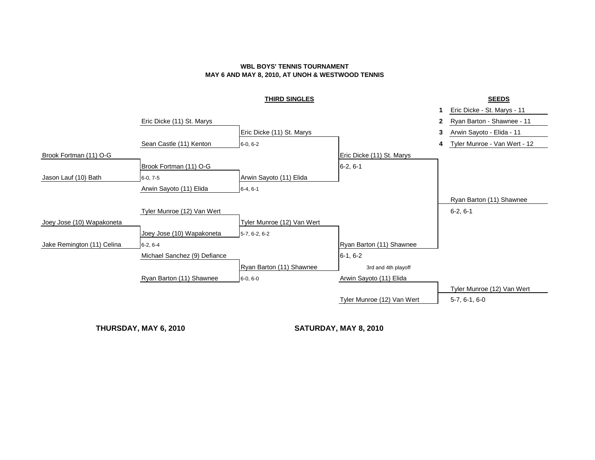#### **THIRD SINGLES SEEDS**

# **1** Eric Dicke - St. Marys - 11 Eric Dicke (11) St. Marys **2** Ryan Barton - Shawnee - 11 Eric Dicke (11) St. Marys **3** Arwin Sayoto - Elida - 11 Sean Castle (11) Kenton 6-0, 6-2 **4** Tyler Munroe - Van Wert - 12 Brook Fortman (11) O-G **Exercise 2** Eric Dicke (11) St. Marys Brook Fortman (11) O-G 6-2, 6-1 Jason Lauf (10) Bath 6-0, 7-5 Arwin Sayoto (11) Elida Arwin Sayoto (11) Elida  $6-4, 6-1$ Ryan Barton (11) Shawnee Tyler Munroe (12) Van Wert **6-2, 6-1 6-2, 6-1** Joey Jose (10) Wapakoneta Tyler Munroe (12) Van Wert Joey Jose (10) Wapakoneta 5-7, 6-2, 6-2 Jake Remington (11) Celina **6-2, 6-4 Ryan Barton (11)** Shawnee **Ryan Barton (11)** Shawnee Michael Sanchez (9) Defiance 6-1, 6-2 Ryan Barton (11) Shawnee 3rd and 4th playoff Ryan Barton (11) Shawnee  $\begin{array}{r} |6-0, 6-0 \end{array}$  equals are  $\begin{array}{r}$  Arwin Sayoto (11) Elida Tyler Munroe (12) Van Wert Tyler Munroe (12) Van Wert  $5-7, 6-1, 6-0$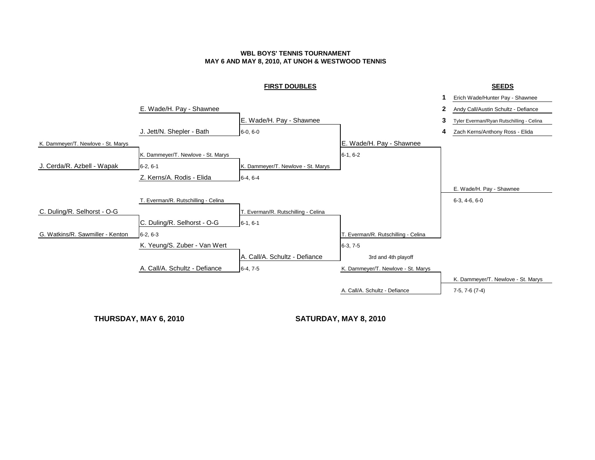#### **FIRST DOUBLES SEEDS**